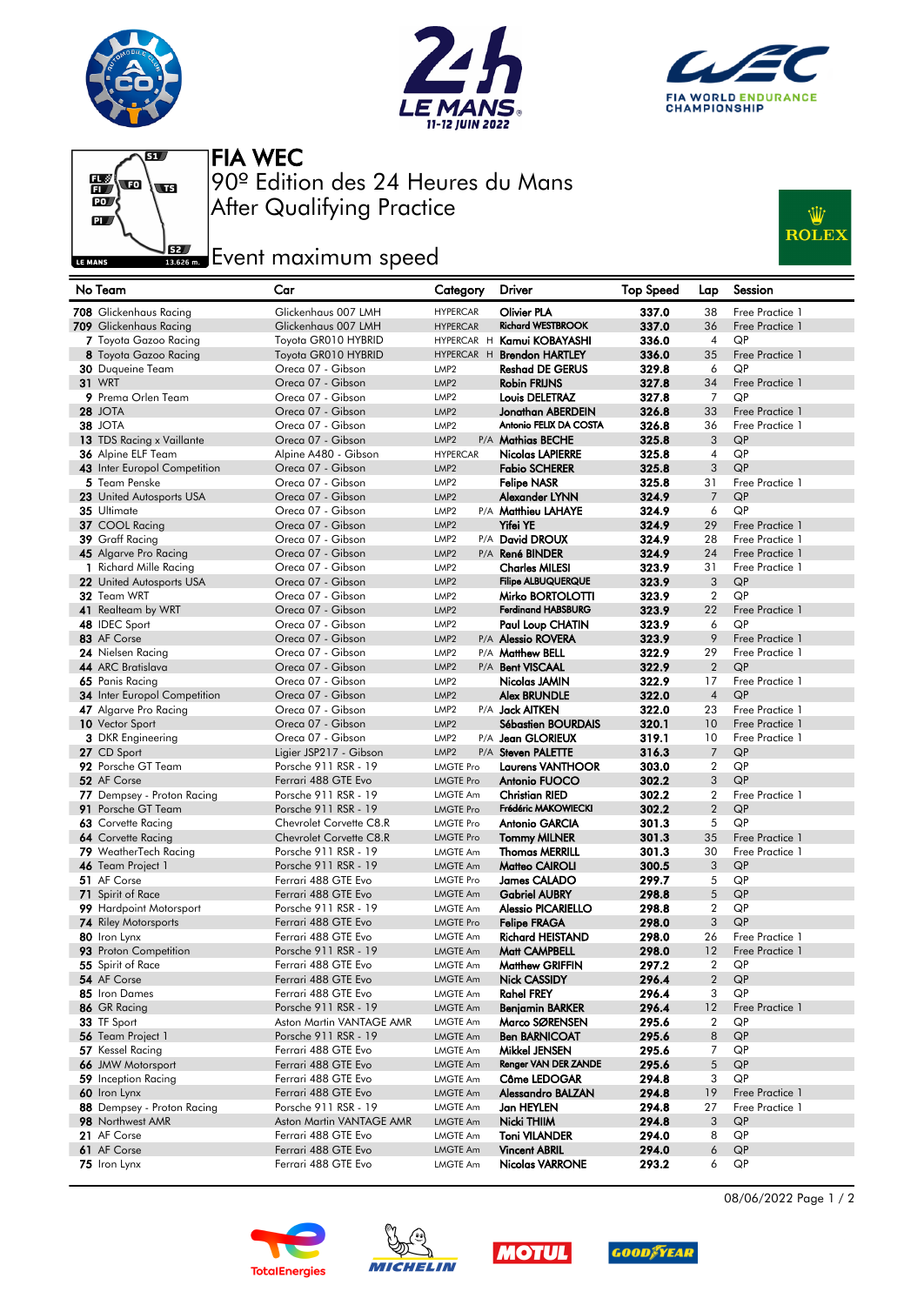







After Qualifying Practice 90º Edition des 24 Heures du Mans FIA WEC

## **Example 2**<br>ISSES on **Example 2** Fournal properties



| No Team                                       | Car                                         | Category                             | Driver                                | Top Speed      | Lap                      | Session               |
|-----------------------------------------------|---------------------------------------------|--------------------------------------|---------------------------------------|----------------|--------------------------|-----------------------|
| 708 Glickenhaus Racing                        | Glickenhaus 007 LMH                         | <b>HYPERCAR</b>                      | <b>Olivier PLA</b>                    | 337.0          | 38                       | Free Practice 1       |
| 709 Glickenhaus Racing                        | Glickenhaus 007 LMH                         | <b>HYPERCAR</b>                      | <b>Richard WESTBROOK</b>              | 337.0          | 36                       | Free Practice 1       |
| 7 Toyota Gazoo Racing                         | Toyota GR010 HYBRID                         |                                      | HYPERCAR H Kamui KOBAYASHI            | 336.0          | $\overline{4}$           | QP                    |
| 8 Toyota Gazoo Racing                         | Toyota GR010 HYBRID                         |                                      | HYPERCAR H Brendon HARTLEY            | 336.0          | 35                       | Free Practice 1       |
| 30 Duqueine Team                              | Oreca 07 - Gibson                           | LMP <sub>2</sub>                     | <b>Reshad DE GERUS</b>                | 329.8          | 6                        | QP                    |
| <b>31 WRT</b>                                 | Oreca 07 - Gibson                           | LMP <sub>2</sub>                     | <b>Robin FRIJNS</b>                   | 327.8          | 34                       | Free Practice 1       |
| 9 Prema Orlen Team                            | Oreca 07 - Gibson                           | LMP <sub>2</sub>                     | Louis DELETRAZ                        | 327.8          | $\overline{7}$           | QP                    |
| <b>28 JOTA</b>                                | Oreca 07 - Gibson                           | LMP <sub>2</sub>                     | Jonathan ABERDEIN                     | 326.8          | 33                       | Free Practice 1       |
| <b>38 JOTA</b>                                | Oreca 07 - Gibson                           | LMP <sub>2</sub>                     | Antonio FELIX DA COSTA                | 326.8          | 36                       | Free Practice 1       |
| 13 TDS Racing x Vaillante                     | Oreca 07 - Gibson                           | LMP <sub>2</sub>                     | P/A Mathias BECHE                     | 325.8          | 3                        | QP                    |
| 36 Alpine ELF Team                            | Alpine A480 - Gibson                        | <b>HYPERCAR</b>                      | <b>Nicolas LAPIERRE</b>               | 325.8          | $\overline{\mathcal{A}}$ | QP                    |
| 43 Inter Europol Competition<br>5 Team Penske | Oreca 07 - Gibson                           | LMP <sub>2</sub>                     | <b>Fabio SCHERER</b>                  | 325.8<br>325.8 | 3                        | QP<br>Free Practice 1 |
|                                               | Oreca 07 - Gibson<br>Oreca 07 - Gibson      | LMP <sub>2</sub><br>LMP <sub>2</sub> | <b>Felipe NASR</b>                    |                | 31<br>$\overline{7}$     | QP                    |
| 23 United Autosports USA<br>35 Ultimate       | Oreca 07 - Gibson                           | LMP <sub>2</sub>                     | Alexander LYNN<br>P/A Matthieu LAHAYE | 324.9<br>324.9 | 6                        | QP                    |
| 37 COOL Racing                                | Oreca 07 - Gibson                           | LMP <sub>2</sub>                     | <b>Yifei YE</b>                       | 324.9          | 29                       | Free Practice 1       |
| 39 Graff Racing                               | Oreca 07 - Gibson                           | LMP <sub>2</sub>                     | P/A David DROUX                       | 324.9          | 28                       | Free Practice 1       |
| 45 Algarve Pro Racing                         | Oreca 07 - Gibson                           | LMP <sub>2</sub>                     | P/A René BINDER                       | 324.9          | 24                       | Free Practice 1       |
| 1 Richard Mille Racing                        | Oreca 07 - Gibson                           | LMP <sub>2</sub>                     | <b>Charles MILESI</b>                 | 323.9          | 31                       | Free Practice 1       |
| 22 United Autosports USA                      | Oreca 07 - Gibson                           | LMP <sub>2</sub>                     | <b>Filipe ALBUQUERQUE</b>             | 323.9          | 3                        | QP                    |
| 32 Team WRT                                   | Oreca 07 - Gibson                           | LMP <sub>2</sub>                     | Mirko BORTOLOTTI                      | 323.9          | $\overline{2}$           | QP                    |
| 41 Realteam by WRT                            | Oreca 07 - Gibson                           | LMP <sub>2</sub>                     | <b>Ferdinand HABSBURG</b>             | 323.9          | 22                       | Free Practice 1       |
| 48 IDEC Sport                                 | Oreca 07 - Gibson                           | LMP <sub>2</sub>                     | Paul Loup CHATIN                      | 323.9          | 6                        | QP                    |
| 83 AF Corse                                   | Oreca 07 - Gibson                           | LMP <sub>2</sub>                     | P/A Alessio ROVERA                    | 323.9          | 9                        | Free Practice 1       |
| 24 Nielsen Racing                             | Oreca 07 - Gibson                           | LMP <sub>2</sub>                     | P/A Matthew BELL                      | 322.9          | 29                       | Free Practice 1       |
| 44 ARC Bratislava                             | Oreca 07 - Gibson                           | LMP <sub>2</sub>                     | P/A Bent VISCAAL                      | 322.9          | $\overline{2}$           | QP                    |
| 65 Panis Racing                               | Oreca 07 - Gibson                           | LMP <sub>2</sub>                     | Nicolas JAMIN                         | 322.9          | 17                       | Free Practice 1       |
| <b>34</b> Inter Europol Competition           | Oreca 07 - Gibson                           | LMP <sub>2</sub>                     | <b>Alex BRUNDLE</b>                   | 322.0          | $\overline{4}$           | QP                    |
| 47 Algarve Pro Racing                         | Oreca 07 - Gibson                           | LMP <sub>2</sub>                     | P/A <b>Jack AITKEN</b>                | 322.0          | 23                       | Free Practice 1       |
| 10 Vector Sport                               | Oreca 07 - Gibson                           | LMP <sub>2</sub>                     | Sébastien BOURDAIS                    | 320.1          | 10                       | Free Practice 1       |
| <b>3</b> DKR Engineering                      | Oreca 07 - Gibson                           | LMP <sub>2</sub>                     | P/A Jean GLORIEUX                     | 319.1          | 10                       | Free Practice 1       |
| 27 CD Sport                                   | Ligier JSP217 - Gibson                      | LMP <sub>2</sub>                     | P/A Steven PALETTE                    | 316.3          | $\overline{7}$           | QP                    |
| 92 Porsche GT Team                            | Porsche 911 RSR - 19                        | <b>LMGTE Pro</b>                     | <b>Laurens VANTHOOR</b>               | 303.0          | $\overline{2}$           | QP                    |
| 52 AF Corse                                   | Ferrari 488 GTE Evo                         | <b>LMGTE Pro</b>                     | Antonio FUOCO                         | 302.2          | 3                        | QP                    |
| 77 Dempsey - Proton Racing                    | Porsche 911 RSR - 19                        | <b>LMGTE Am</b>                      | <b>Christian RIED</b>                 | 302.2          | $\overline{2}$           | Free Practice 1       |
| 91 Porsche GT Team                            | Porsche 911 RSR - 19                        | <b>LMGTE Pro</b>                     | Frédéric MAKOWIECKI                   | 302.2          | $\overline{2}$           | QP                    |
| 63 Corvette Racing                            | Chevrolet Corvette C8.R                     | <b>LMGTE Pro</b>                     | Antonio GARCIA                        | 301.3          | 5                        | QP                    |
| <b>64</b> Corvette Racing                     | Chevrolet Corvette C8.R                     | <b>LMGTE Pro</b>                     | <b>Tommy MILNER</b>                   | 301.3          | 35                       | Free Practice 1       |
| 79 WeatherTech Racing                         | Porsche 911 RSR - 19                        | <b>LMGTE Am</b>                      | <b>Thomas MERRILL</b>                 | 301.3          | 30                       | Free Practice 1       |
| 46 Team Project 1<br>51 AF Corse              | Porsche 911 RSR - 19<br>Ferrari 488 GTE Evo | <b>LMGTE Am</b>                      | <b>Matteo CAIROLI</b>                 | 300.5          | 3                        | QP                    |
|                                               |                                             | <b>LMGTE Pro</b>                     | James CALADO<br><b>Gabriel AUBRY</b>  | 299.7          | 5                        | QP                    |
| 71 Spirit of Race<br>99 Hardpoint Motorsport  | Ferrari 488 GTE Evo<br>Porsche 911 RSR - 19 | <b>LMGTE Am</b><br><b>LMGTE Am</b>   | <b>Alessio PICARIELLO</b>             | 298.8<br>298.8 | 5<br>$\overline{2}$      | QP<br>QP              |
| <b>74</b> Riley Motorsports                   | Ferrari 488 GTE Evo                         | <b>LMGTE Pro</b>                     | <b>Felipe FRAGA</b>                   | 298.0          | 3                        | QP                    |
| 80 Iron Lynx                                  | Ferrari 488 GTE Evo                         | <b>LMGTE Am</b>                      | <b>Richard HEISTAND</b>               | 298.0          | 26                       | Free Practice 1       |
| 93 Proton Competition                         | Porsche 911 RSR - 19                        | <b>LMGTE Am</b>                      | Matt CAMPBELL                         | 298.0          | 12                       | Free Practice 1       |
| 55 Spirit of Race                             | Ferrari 488 GTE Evo                         | LMGTE Am                             | Matthew GRIFFIN                       | 297.2          | $\boldsymbol{2}$         | QP                    |
| 54 AF Corse                                   | Ferrari 488 GTE Evo                         | <b>LMGTE Am</b>                      | Nick CASSIDY                          | 296.4          | $\boldsymbol{2}$         | QP                    |
| 85 Iron Dames                                 | Ferrari 488 GTE Evo                         | LMGTE Am                             | <b>Rahel FREY</b>                     | 296.4          | 3                        | QP                    |
| 86 GR Racing                                  | Porsche 911 RSR - 19                        | <b>LMGTE Am</b>                      | <b>Benjamin BARKER</b>                | 296.4          | 12                       | Free Practice 1       |
| 33 TF Sport                                   | Aston Martin VANTAGE AMR                    | <b>LMGTE Am</b>                      | Marco SØRENSEN                        | 295.6          | $\overline{2}$           | QP                    |
| 56 Team Project 1                             | Porsche 911 RSR - 19                        | <b>LMGTE Am</b>                      | <b>Ben BARNICOAT</b>                  | 295.6          | 8                        | QP                    |
| 57 Kessel Racing                              | Ferrari 488 GTE Evo                         | LMGTE Am                             | Mikkel JENSEN                         | 295.6          | 7                        | QP                    |
| 66 JMW Motorsport                             | Ferrari 488 GTE Evo                         | <b>LMGTE Am</b>                      | Renger VAN DER ZANDE                  | 295.6          | 5                        | QP                    |
| 59 Inception Racing                           | Ferrari 488 GTE Evo                         | LMGTE Am                             | Côme LEDOGAR                          | 294.8          | 3                        | QP                    |
| 60 Iron Lynx                                  | Ferrari 488 GTE Evo                         | <b>LMGTE Am</b>                      | Alessandro BALZAN                     | 294.8          | 19                       | Free Practice 1       |
| 88 Dempsey - Proton Racing                    | Porsche 911 RSR - 19                        | LMGTE Am                             | Jan HEYLEN                            | 294.8          | 27                       | Free Practice 1       |
| 98 Northwest AMR                              | Aston Martin VANTAGE AMR                    | <b>LMGTE Am</b>                      | Nicki THIIM                           | 294.8          | 3                        | QP                    |
| 21 AF Corse                                   | Ferrari 488 GTE Evo                         | LMGTE Am                             | <b>Toni VILANDER</b>                  | 294.0          | 8                        | QP                    |
| 61 AF Corse                                   | Ferrari 488 GTE Evo                         | <b>LMGTE Am</b>                      | <b>Vincent ABRIL</b>                  | 294.0          | 6                        | QP                    |
| 75 Iron Lynx                                  | Ferrari 488 GTE Evo                         | <b>LMGTE Am</b>                      | <b>Nicolas VARRONE</b>                | 293.2          | 6                        | QP                    |









08/06/2022 Page 1 / 2